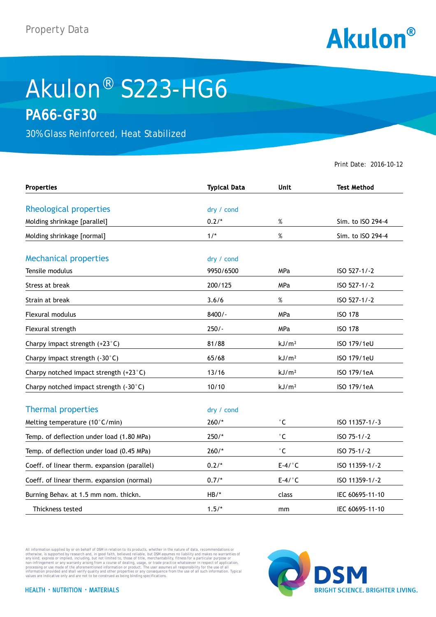

## Akulon® S223-HG6 **PA66-GF30**

30% Glass Reinforced, Heat Stabilized

Print Date: 2016-10-12

| <b>Properties</b>                            | <b>Typical Data</b> | <b>Unit</b>         | <b>Test Method</b> |
|----------------------------------------------|---------------------|---------------------|--------------------|
|                                              |                     |                     |                    |
| Rheological properties                       | dry / cond          |                     |                    |
| Molding shrinkage [parallel]                 | $0.2/*$             | %                   | Sim. to ISO 294-4  |
| Molding shrinkage [normal]                   | $1/$ *              | $\%$                | Sim. to ISO 294-4  |
| <b>Mechanical properties</b>                 | dry / cond          |                     |                    |
| Tensile modulus                              | 9950/6500           | MPa                 | ISO 527-1/-2       |
| Stress at break                              | 200/125             | <b>MPa</b>          | ISO 527-1/-2       |
| Strain at break                              | 3.6/6               | $\%$                | ISO 527-1/-2       |
| <b>Flexural modulus</b>                      | $8400/-$            | MPa                 | <b>ISO 178</b>     |
| Flexural strength                            | $250/-$             | <b>MPa</b>          | <b>ISO 178</b>     |
| Charpy impact strength (+23°C)               | 81/88               | kJ/m <sup>2</sup>   | ISO 179/1eU        |
| Charpy impact strength (-30°C)               | 65/68               | kJ/m <sup>2</sup>   | ISO 179/1eU        |
| Charpy notched impact strength (+23°C)       | 13/16               | kJ/m <sup>2</sup>   | ISO 179/1eA        |
| Charpy notched impact strength (-30°C)       | 10/10               | kJ/m <sup>2</sup>   | ISO 179/1eA        |
| <b>Thermal properties</b>                    | dry / cond          |                     |                    |
| Melting temperature (10°C/min)               | $260/*$             | $^\circ \mathsf{C}$ | ISO 11357-1/-3     |
| Temp. of deflection under load (1.80 MPa)    | $250/*$             | $^\circ$ C          | ISO 75-1/-2        |
| Temp. of deflection under load (0.45 MPa)    | $260/*$             | $^\circ$ C          | ISO 75-1/-2        |
| Coeff. of linear therm. expansion (parallel) | $0.2/*$             | $E-4/°C$            | ISO 11359-1/-2     |
| Coeff. of linear therm. expansion (normal)   | $0.7/*$             | $E-4/°C$            | ISO 11359-1/-2     |
| Burning Behav. at 1.5 mm nom. thickn.        | $HB/*$              | class               | IEC 60695-11-10    |
| Thickness tested                             | $1.5/*$             | mm                  | IEC 60695-11-10    |

All information supplied by or on behalf of DSM in relation to its products, whether in the nature of data, recommendations or others in the matter of the order or the matter of the commendations or others in any kind, exp